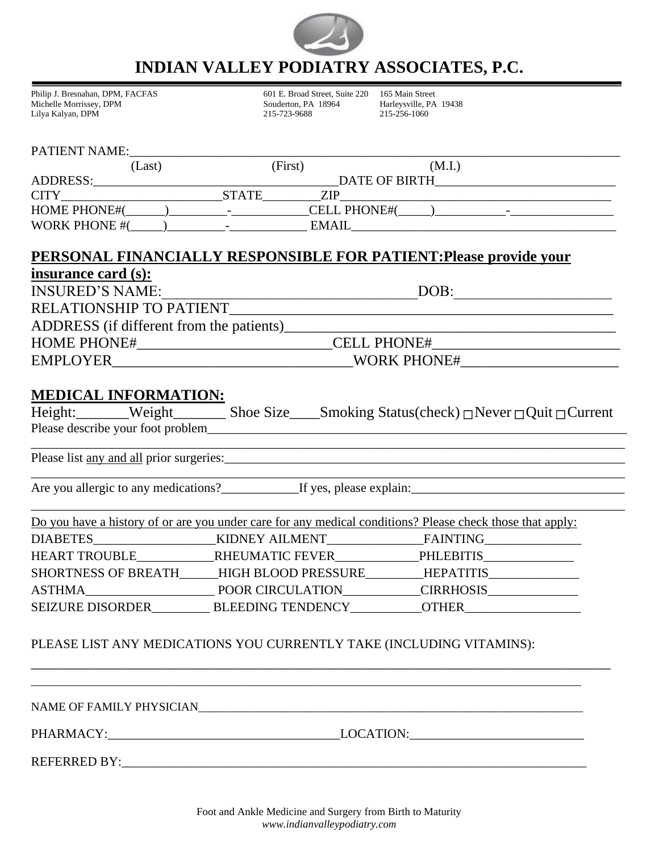

## **INDIAN VALLEY PODIATRY ASSOCIATES, P.C.**

| Philip J. Bresnahan, DPM, FACFAS | 601 E. Broad Street. Suite 220 165 Main Street |                        |
|----------------------------------|------------------------------------------------|------------------------|
| Michelle Morrissey, DPM          | Souderton, PA 18964                            | Harleysville, PA 19438 |
| Lilya Kalyan, DPM                | 215-723-9688                                   | 215-256-1060           |

### PATIENT NAME:\_\_\_\_\_\_\_\_\_\_\_\_\_\_\_\_\_\_\_\_\_\_\_\_\_\_\_\_\_\_\_\_\_\_\_\_\_\_\_\_\_\_\_\_\_\_\_\_\_\_\_\_\_\_\_\_\_\_\_\_\_\_\_\_\_\_\_\_\_\_\_\_\_\_\_\_

| Last)                |                          | (First) | (M.I.)               |                          |  |
|----------------------|--------------------------|---------|----------------------|--------------------------|--|
| <b>ADDRESS:</b>      |                          |         | <b>DATE OF BIRTH</b> |                          |  |
| <b>CITY</b>          | <b>STATE</b>             | ZIP     |                      |                          |  |
| <b>HOME PHONE#(</b>  | $\overline{\phantom{0}}$ |         | <b>CELL PHONE#(</b>  | $\overline{\phantom{0}}$ |  |
| <b>WORK PHONE #(</b> |                          | EMAIL   |                      |                          |  |

## **PERSONAL FINANCIALLY RESPONSIBLE FOR PATIENT:Please provide your**

| insurance card (s):                      |                    |  |
|------------------------------------------|--------------------|--|
| <b>INSURED'S NAME:</b>                   | DOB:               |  |
| RELATIONSHIP TO PATIENT                  |                    |  |
| ADDRESS (if different from the patients) |                    |  |
| <b>HOME PHONE#</b>                       | <b>CELL PHONE#</b> |  |
| <b>EMPLOYER</b>                          | <b>WORK PHONE#</b> |  |

### **MEDICAL INFORMATION:**

| Height:_______Weight_             |  | Shoe Size____Smoking Status(check) $\Box$ Never $\Box$ Quit $\Box$ Current |
|-----------------------------------|--|----------------------------------------------------------------------------|
| Please describe your foot problem |  |                                                                            |

\_\_\_\_\_\_\_\_\_\_\_\_\_\_\_\_\_\_\_\_\_\_\_\_\_\_\_\_\_\_\_\_\_\_\_\_\_\_\_\_\_\_\_\_\_\_\_\_\_\_\_\_\_\_\_\_\_\_\_\_\_\_\_\_\_\_\_\_\_\_\_\_\_\_\_\_\_\_\_\_\_\_\_\_\_\_\_\_\_\_\_\_

\_\_\_\_\_\_\_\_\_\_\_\_\_\_\_\_\_\_\_\_\_\_\_\_\_\_\_\_\_\_\_\_\_\_\_\_\_\_\_\_\_\_\_\_\_\_\_\_\_\_\_\_\_\_\_\_\_\_\_\_\_\_\_\_\_\_\_\_\_\_\_\_\_\_\_\_\_\_\_\_\_\_\_\_\_\_\_\_\_\_\_\_

Please list any and all prior surgeries:\_\_\_\_\_\_\_\_\_\_\_\_\_\_\_\_\_\_\_\_\_\_\_\_\_\_\_\_\_\_\_\_\_\_\_\_\_\_\_\_\_\_\_\_\_\_\_\_\_\_\_\_\_\_\_\_\_\_\_\_\_\_

Are you allergic to any medications?\_\_\_\_\_\_\_\_\_\_\_\_If yes, please explain:\_\_\_\_\_\_\_\_\_\_\_\_\_\_\_\_\_\_\_\_\_\_\_\_\_\_\_\_\_\_\_\_\_

|                            |                           | Do you have a history of or are you under care for any medical conditions? Please check those that apply: |
|----------------------------|---------------------------|-----------------------------------------------------------------------------------------------------------|
| <b>DIABETES</b>            | KIDNEY AILMENT            | FAINTING                                                                                                  |
| <b>HEART TROUBLE</b>       | RHEUMATIC FEVER PHLEBITIS |                                                                                                           |
| <b>SHORTNESS OF BREATH</b> | HIGH BLOOD PRESSURE       | HEPATITIS                                                                                                 |
| ASTHMA                     |                           | POOR CIRCULATION CIRRHOSIS                                                                                |
| <b>SEIZURE DISORDER</b>    | <b>BLEEDING TENDENCY</b>  | <b>OTHER</b>                                                                                              |

\_\_\_\_\_\_\_\_\_\_\_\_\_\_\_\_\_\_\_\_\_\_\_\_\_\_\_\_\_\_\_\_\_\_\_\_\_\_\_\_\_\_\_\_\_\_\_\_\_\_\_\_\_\_\_\_\_\_\_\_\_\_\_\_\_\_\_\_\_\_\_\_\_\_\_\_\_

\_\_\_\_\_\_\_\_\_\_\_\_\_\_\_\_\_\_\_\_\_\_\_\_\_\_\_\_\_\_\_\_\_\_\_\_\_\_\_\_\_\_\_\_\_\_\_\_\_\_\_\_\_\_\_\_\_\_\_\_\_\_\_\_\_\_\_\_\_\_\_\_\_\_\_\_\_\_\_\_\_\_\_\_\_\_\_\_\_\_\_\_\_

### PLEASE LIST ANY MEDICATIONS YOU CURRENTLY TAKE (INCLUDING VITAMINS):

PHARMACY: LOCATION:

 $\blacksquare$ 

REFERRED BY:\_\_\_\_\_\_\_\_\_\_\_\_\_\_\_\_\_\_\_\_\_\_\_\_\_\_\_\_\_\_\_\_\_\_\_\_\_\_\_\_\_\_\_\_\_\_\_\_\_\_\_\_\_\_\_\_\_\_\_\_\_\_\_\_\_\_\_\_\_\_\_\_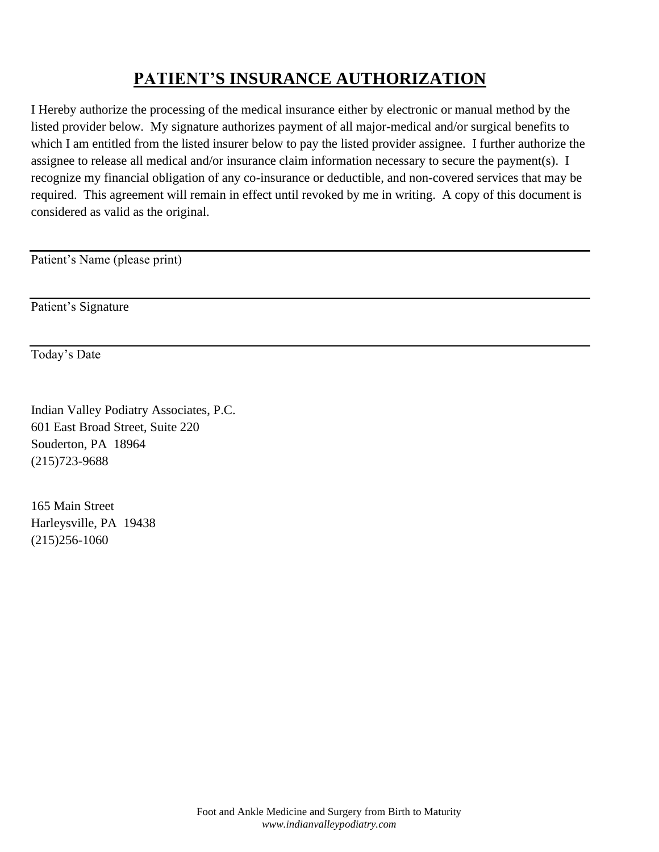# **PATIENT'S INSURANCE AUTHORIZATION**

I Hereby authorize the processing of the medical insurance either by electronic or manual method by the listed provider below. My signature authorizes payment of all major-medical and/or surgical benefits to which I am entitled from the listed insurer below to pay the listed provider assignee. I further authorize the assignee to release all medical and/or insurance claim information necessary to secure the payment(s). I recognize my financial obligation of any co-insurance or deductible, and non-covered services that may be required. This agreement will remain in effect until revoked by me in writing. A copy of this document is considered as valid as the original.

Patient's Name (please print)

Patient's Signature

Today's Date

Indian Valley Podiatry Associates, P.C. 601 East Broad Street, Suite 220 Souderton, PA 18964 (215)723-9688

165 Main Street Harleysville, PA 19438 (215)256-1060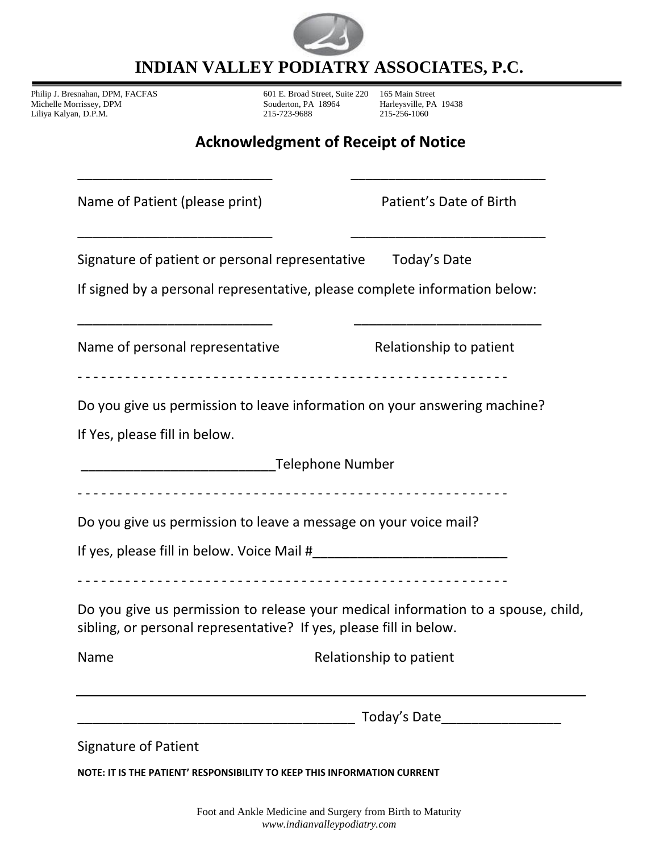

**INDIAN VALLEY PODIATRY ASSOCIATES, P.C.**

Philip J. Bresnahan, DPM, FACFAS 601 E. Broad Street, Suite 220 165 Main Street Michelle Morrissey, DPM Souderton, PA 18964 Harleysville, PA 19438<br>
Liliya Kalyan, D.P.M. 215-723-9688 215-723-9688 215-723-968 Liliya Kalyan, D.P.M.

## **Acknowledgment of Receipt of Notice**

| Name of Patient (please print)                                             | Patient's Date of Birth                                                           |  |
|----------------------------------------------------------------------------|-----------------------------------------------------------------------------------|--|
| Signature of patient or personal representative Today's Date               |                                                                                   |  |
| If signed by a personal representative, please complete information below: |                                                                                   |  |
| Name of personal representative                                            | Relationship to patient<br>-----------------------------                          |  |
| Do you give us permission to leave information on your answering machine?  |                                                                                   |  |
| If Yes, please fill in below.                                              |                                                                                   |  |
| <b>Telephone Number Telephone Number</b>                                   |                                                                                   |  |
|                                                                            |                                                                                   |  |
| Do you give us permission to leave a message on your voice mail?           |                                                                                   |  |
|                                                                            |                                                                                   |  |
| sibling, or personal representative? If yes, please fill in below.         | Do you give us permission to release your medical information to a spouse, child, |  |
| Name                                                                       | Relationship to patient                                                           |  |
|                                                                            | Today's Date____________________                                                  |  |
| <b>Signature of Patient</b>                                                |                                                                                   |  |

**NOTE: IT IS THE PATIENT' RESPONSIBILITY TO KEEP THIS INFORMATION CURRENT**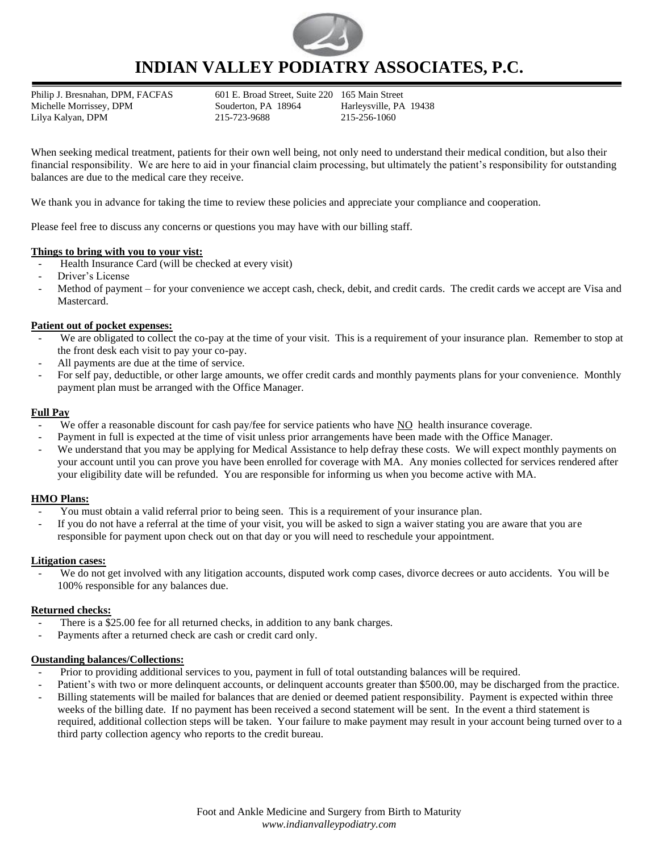

### **INDIAN VALLEY PODIATRY ASSOCIATES, P.C.**

Philip J. Bresnahan, DPM, FACFAS 601 E. Broad Street, Suite 220 165 Main Street Michelle Morrissey, DPM Souderton, PA 18964 Harleysville, PA 19438 Lilya Kalyan, DPM 215-723-9688 215-256-1060

When seeking medical treatment, patients for their own well being, not only need to understand their medical condition, but also their financial responsibility. We are here to aid in your financial claim processing, but ultimately the patient's responsibility for outstanding balances are due to the medical care they receive.

We thank you in advance for taking the time to review these policies and appreciate your compliance and cooperation.

Please feel free to discuss any concerns or questions you may have with our billing staff.

#### **Things to bring with you to your vist:**

- Health Insurance Card (will be checked at every visit)
- Driver's License
- Method of payment for your convenience we accept cash, check, debit, and credit cards. The credit cards we accept are Visa and Mastercard.

#### **Patient out of pocket expenses:**

- We are obligated to collect the co-pay at the time of your visit. This is a requirement of your insurance plan. Remember to stop at the front desk each visit to pay your co-pay.
- All payments are due at the time of service.
- For self pay, deductible, or other large amounts, we offer credit cards and monthly payments plans for your convenience. Monthly payment plan must be arranged with the Office Manager.

#### **Full Pay**

- We offer a reasonable discount for cash pay/fee for service patients who have NO health insurance coverage.
- Payment in full is expected at the time of visit unless prior arrangements have been made with the Office Manager.
- We understand that you may be applying for Medical Assistance to help defray these costs. We will expect monthly payments on your account until you can prove you have been enrolled for coverage with MA. Any monies collected for services rendered after your eligibility date will be refunded. You are responsible for informing us when you become active with MA.

#### **HMO Plans:**

- You must obtain a valid referral prior to being seen. This is a requirement of your insurance plan.
- If you do not have a referral at the time of your visit, you will be asked to sign a waiver stating you are aware that you are responsible for payment upon check out on that day or you will need to reschedule your appointment.

#### **Litigation cases:**

We do not get involved with any litigation accounts, disputed work comp cases, divorce decrees or auto accidents. You will be 100% responsible for any balances due.

#### **Returned checks:**

- There is a \$25.00 fee for all returned checks, in addition to any bank charges.
- Payments after a returned check are cash or credit card only.

#### **Oustanding balances/Collections:**

- Prior to providing additional services to you, payment in full of total outstanding balances will be required.
- Patient's with two or more delinquent accounts, or delinquent accounts greater than \$500.00, may be discharged from the practice.
- Billing statements will be mailed for balances that are denied or deemed patient responsibility. Payment is expected within three weeks of the billing date. If no payment has been received a second statement will be sent. In the event a third statement is required, additional collection steps will be taken. Your failure to make payment may result in your account being turned over to a third party collection agency who reports to the credit bureau.